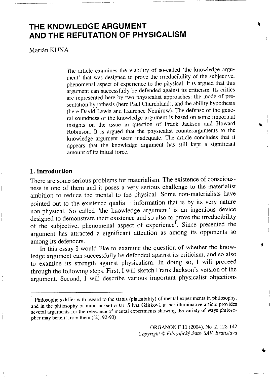# **THE KNOWLEDGE ARGUMENT AND THE REFUTATION OF PHYSICALISM**

Marián KUNA

The article examines the viability of so-called 'the knowledge argument' that was designed to prove the irreducibility of the subjective, phenomenal aspect of experience to the physical. It is argued that this argument can successfully be defended against its criticism. Its critics are represented here by two physicalist approaches: the mode of presentation hypothesis (here Paul Churchland), and the ability hypothesis (here David Lewis and Laurence Nemirow). The defense of the general soundness of the knowledge argument is based on some important insights on the issue m question of Frank Jackson and Howard Robinson. It is argued that the physicalist counterarguments to the knowledge argument seem inadequate. The article concludes that it appears that the knowledge argument has still kept a significant amount of its initial force.

## **1. Introduction**

There are some serious problems for materialism. The existence of consciousness is one of them and it poses a very serious challenge to the materialist ambition to reduce the mental to the physical. Some non-materialists have pointed out to the existence qualia  $-$  information that is by its very nature non-physical. So called 'the knowledge argument' is an ingenious device designed to demonstrate their existence and so also to prove the irreducibility of the subjective, phenomenal aspect of experience<sup>1</sup>. Since presented the argument has attracted a significant attention as among its opponents so among its defenders.

In this essay I would like to examine the question of whether the knowledge argument can successfully be defended against its criticism, and so also to examine its strength against physicalism. In doing so, I will proceed through the following steps. First, I will sketch Frank Jackson's version of the argument. Second, I will describe various important physicalist objections

 $\frac{1}{1}$  Philosophers differ with regard to the status (plausibility) of mental experiments in philosoph and in the philosophy of mind in particular Silvia Gáhková in her illuminative article provides several arguments for the relevance of mental experiments showing the variety of ways philosopher may benefit from them ([2], 92-93)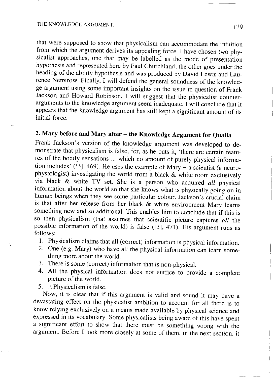Ŀ,

that were supposed to show that physicalism can accommodate the intuition from which the argument derives its appealing force. I have chosen two physicalist approaches, one that may be labelled as the mode of presentation hypothesis and represented here by Paul Churchland; the other goes under the heading of the ability hypothesis and was produced by David Lewis and Laurence Nemirow. Finally, I will defend the general soundness of the knowledge argument using some important insights on the issue in question of Frank Jackson and Howard Robinson. I will suggest that the physicalist counterarguments to the knowledge argument seem inadequate. 1 will conclude that it appears that the knowledge argument has still kept a significant amount of its initial force.

# **2. Mary before and Mary after - the Knowledge Argument for Qualia**

Frank Jackson's version of the knowledge argument was developed to demonstrate that physicalism is false, for, as he puts it, 'there are certain features of the bodily sensations ... which no amount of purely physical information includes' ( $[3]$ , 469). He uses the example of Mary - a scientist (a neurophysiologist) investigating the world from a black & white room exclusively via black & white TV set. She is a person who acquired *all* physical information about the world so that she knows what is physically going on in human beings when they see some particular colour. Jackson's crucial claim is that after her release from her black & white environment Mary learns something new and so additional. This enables him to conclude that if this is so then physicalism (that assumes that scientific picture captures *all* the possible information of the world) is false  $(3]$ , 471). His argument runs as follows:

- 1. Physicalism claims that all (correct) information is physical information.
- 2 . One (e.g. Mary) who have all the physical information can learn something more about the world.
- 3. There is some (correct) information that is non-physical.
- 4. All the physical information does not suffice to provide a complete picture of the world.
- 5. : . . Physicalism is false.

Now, it is clear that if this argument is valid and sound it may have a devastating effect on the physicalist ambition to account for all there is to know relying exclusively on a means made available by physical science and expressed in its vocabulary. Some physicalists being aware of this have spent a significant effort to show that there must be something wrong with the argument. Before I look more closely at some of them, in the next section, it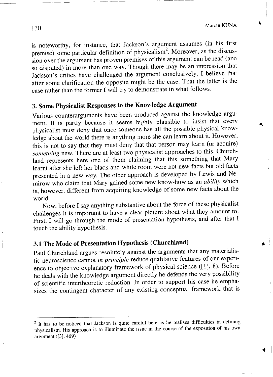is noteworthy, for instance, that Jackson's argument assumes (in his first premise) some particular definition of physicalism<sup>2</sup>. Moreover, as the discussion over the argument has proven premises of this argument can be read (and so disputed) in more than one way. Though there may be an impression that Jackson's critics have challenged the argument conclusively, I believe that after some clarification the opposite might be the case. That the latter is the case rather than the former I will try to demonstrate in what follows.

# **3. Some Physicalist Responses to the Knowledge Argument**

Various counterarguments have been produced against the knowledge argument. It is partly because it seems highly plausible to insist that every physicalist must deny that once someone has all the possible physical knowledge about the world there is anything more she can learn about it. However, this is not to say that they must deny that that person may learn (or acquire) *something* new. There are at least two physicalist approaches to this. Churchland represents here one of them claiming that this something that Mary learnt after she left her black and white room were not new facts but old facts presented in a new *way*. The other approach is developed by Lewis and Nemirow who claim that Mary gained some new know-how as an *ability* which is, however, different from acquiring knowledge of some new facts about the world.

Now, before I say anything substantive about the force of these physicalist challenges it is important to have a clear picture about what they amount to. First, I will go through the mode of presentation hypothesis, and after that I touch the ability hypothesis.

# **3.1 The Mode of Presentation Hypothesis (Churchland)**

Paul Churchland argues resolutely against the arguments that any materialistic neuroscience cannot *in principle* reduce qualitative features of our experience to objective explanatory framework of physical science  $(11, 8)$ . Before he deals with the knowledge argument directly he defends the very possibility of scientific intertheoretic reduction. In order to support his case he emphasizes the contingent character of any existing conceptual framework that is

<sup>&</sup>lt;sup>2</sup> It has to be noticed that Jackson is quite careful here as he realises difficulties in definitionphysicalism. His approach is to illuminate the issue in the course of the exposition of his own argument ([3], 469)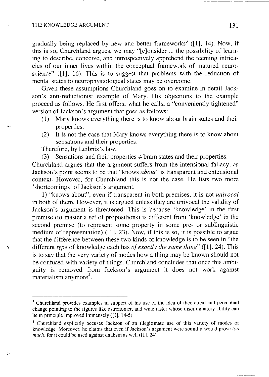#### THE KNOWLEDGE ARGUMENT 131

gradually being replaced by new and better frameworks<sup>3</sup> ([1], 14). Now, this is so, Churchland argues, we may "|c]onsider ... the possibility of learning to describe, conceive, and introspectively apprehend the teeming intricacies of our inner lives within the conceptual framework of matured neuroscience"  $(11, 16)$ . This is to suggest that problems with the reduction of mental states to neurophysiological states may be overcome.

Given these assumptions Churchland goes on to examine in detail Jackson's anti-reductionist example of Mary. His objections to the example proceed as follows. He first offers, what he calls, a "conveniently tightened" version of Jackson's argument that goes as follows:

- $(1)$  Mary knows everything there is to know about brain states and their properties.
- (2) It is not the case that Mary knows everything there is to know about sensations and their properties.

Therefore, by Leibniz's law,

 $\ddot{\mathbf{r}}$ 

j.

(3) Sensations and their properties  $\neq$  brain states and their properties.

Churchland argues that the argument suffers from the intensional fallacy, as Jackson's point seems to be that "knows *about*" is transparent and extensional context. However, for Churchland this is not the case. He lists two more 'shortcomings' of Jackson's argument.

1) "knows about", even if transparent in both premises, it is not *univocal* in both of them. However, it is argued unless they are univocal the validity of Jackson's argument is threatened. This is because 'knowledge' in the first premise (to master a set of propositions) is different from 'knowledge' in the second premise (to represent some property in some pre- or sublinguistic medium of representation) ( $[1]$ , 23). Now, if this is so, it is possible to argue that the difference between these two kinds of knowledge is to be seen in "the different *type* of knowledge each has *of exactly the same thing*" ([1], 24). This is to say that the very variety of modes how a thing may be known should not be confused with variety of things. Churchland concludes that once this ambiguity is removed from Jackson's argument it does not work against materialism anymore<sup>4</sup>.

<sup>&</sup>lt;sup>3</sup> Churchland provides examples in support of his use of the idea of theoretical and perceptual change pointing to the figures like astronomer, and wine taster whose discriminatory ability can be in principle improved immensely ([1], 14-5)

<sup>4</sup> Churchland explicitly accuses Jackson of an illegitimate use of this variety of modes of knowledge Moreover, he claims that even if Jackson's argument were sound it would prove *too much*, for it could be used against dualism as well ([1], 24)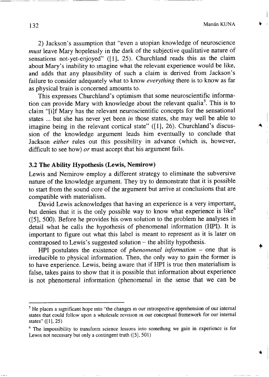132 Marián KUNA

2) Jackson's assumption that "even a utopian knowledge of neuroscience *must* leave Mary hopelessly in the dark of the subjective qualitative nature of sensations not-vet-enjoyed"  $([1], 25)$ . Churchland reads this as the claim about Mary's inability to imagine what the relevant experience would be like, and adds that any plausibility of such a claim is derived from Jackson's failure to consider adequately what to know *everything* there is to know as far as physical brain is concerned amounts to.

This expresses Churchland's optimism that some neuroscientific information can provide Mary with knowledge about the relevant qualia<sup>3</sup>. This is claim "[i]f Mary has the relevant neuroscientific concepts for the sensational states ... but she has never yet been *in* those states, she may well be able to imagine being in the relevant cortical state"  $([1], 26)$ . Churchland's discussion of the knowledge argument leads him eventually to conclude that Jackson *either* rules out this possibility in advance (which is, however, difficult to see how) *or* must accept that his argument fails.

### **3.2 The Ability Hypothesis (Lewis, Nemirow)**

Lewis and Nemirow employ a different strategy to eliminate the subversive nature of the knowledge argument. They try to demonstrate that it is possible to start from the sound core of the argument but arrive at conclusions that are compatible with materialism.

David Lewis acknowledges that having an experience is a very important, but denies that it is the only possible way to know what experience is like<sup> $6$ </sup>  $([5], 500)$ . Before he provides his own solution to the problem he analyses in detail what he calls the hypothesis of phenomenal information (HPI). It is important to figure out what this label is meant to represent as it is later on contraposed to Lewis's suggested solution  $-$  the ability hypothesis.

HPI postulates the existence of *phenomenal information*  $-$  one that is irreducible to physical information. Then, the only way to gain the former is to have experience. Lewis, being aware that if HPI is true then materialism is false, takes pains to show that it is possible that information about experience is not phenomenal information (phenomenal in the sense that we can be

 $<sup>5</sup>$  He places a significant hope into "the changes in our introspective apprehension of our internal</sup> states that could follow upon a wholesale revision in our conceptual framework for our internal states" ([1], 25)

<sup>&</sup>lt;sup>6</sup> The impossibility to transform science lessons into something we gain in experience is for Lewis not necessary but only a contingent truth ([5], 501)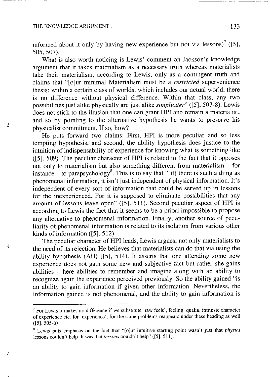#### THE KNOWLEDGE ARGUMENT. 133

4

ķ.

informed about it only by having new experience but not via lessons)' ([ 505, 507).

What is also worth noticing is Lewis' comment on Jackson's knowledge argument that it takes materialism as a necessary truth whereas materialists take their materialism, according to Lewis, only as a contingent truth and claims that "[o]ur minimal Materialism must be a *restricted* supervenience thesis: within a certain class of worlds, which includes our actual world, there is no difference without physical difference. Within that class, any two possibilities just alike physically are just alike *simpliciter*" ([5], 507-8). Lewis does not stick to the illusion that one can grant HPI and remain a materialist, and so by pointing to the alternative hypothesis he wants to preserve his physicalist commitment. If so, how?

He puts forward two claims: First, HPI is more peculiar and so less tempting hypothesis, and second, the ability hypothesis does justice to the intuition of indispensability of experience for knowing what is something like  $(5, 509)$ . The peculiar character of HPI is related to the fact that it opposes not only to materialism but also something different from materialism - for instance – to parapsychology<sup>8</sup>. This is to say that "lifl there is such a thing phenomenal information, it isn't just independent of physical information. It's independent of every sort of information that could be served up in lessons for the inexperienced. For it is supposed to eliminate possibilities that any amount of lessons leave open" ( $[5]$ , 511). Second peculiar aspect of HPI is according to Lewis the fact that it seems to be a priori impossible to propose any alternative to phenomenal information. Finally, another source of peculiarity of phenomenal information is related to its isolation from various other kinds of information  $(5, 512)$ .

The peculiar character of HPI leads, Lewis argues, not only materialists to the need of its rejection. He believes that materialists can do that via using the ability hypothesis (AH) ([5], 514). It asserts that one attending some new experience does not gain some new and subjective fact but rather she gains abilities  $-$  here abilities to remember and imagine along with an ability to recognize again the experience perceived previously. So the ability gained "is an ability to gain information if given other information. Nevertheless, the information gained is not phenomenal, and the ability to gain information is

 $<sup>7</sup>$  For Lewis it makes no difference if we substitute 'raw feels', feeling, qualia, intrinsic charact</sup> of experience etc. for 'experience', for the same problems reappears under these heading as well  $([5], 505-6)$ 

<sup>8</sup> Lewis puts emphasis on the fact that "[o]ur intuitive starting point wasn't just that *physics* lessons couldn't help. It was that *lessons* couldn't help" ([5], 511).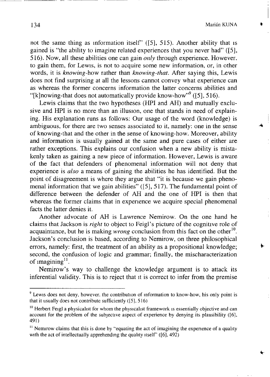$\bigstar$ 

not the same thing as information itself' ([5], 515). Another ability that is gained is "the ability to imagine related experiences that you never had" ([5], 516). Now, all these abilities one can gain *only* through experience. However, to gain them, for Lewis, is not to acquire some new information, or, in other words, it is *knowing-*how rather than *knowing-that.* After saying this, Lewis does not find surprising at all the lessons cannot convey what experience can as whereas the former concerns information the latter concerns abilities and "[k]nowing-that does not automatically provide know-how"" ([5], 516

Lewis claims that the two hypotheses (HPI and AH) and mutually exclusive and HPI is no more than an illusion, one that stands in need of explaining. His explanation runs as follows: Our usage of the word (knowledge) is ambiguous, for there are two senses associated to it, namely: one in the sense of knowing-that and the other in the sense of knowing-how. Moreover, ability and information is usually gained at the same and pure cases of either are rather exceptions. This explains our confusion when a new ability is mistakenly taken as gaining a new piece of information. However, Lewis is aware of the fact that defenders of phenomenal information will not deny that experience is  $also$  a means of gaining the abilities he has identified. But the point of disagreement is where they argue that "it is because we gain phenomenal information that we gain abilities"  $(5, 517)$ . The fundamental point of difference between the defender of AH and the one of HPI is then that whereas the former claims that in experience we acquire special phenomenal facts the latter denies it.

Another advocate of AH is Lawrence Nemirow. On the one hand he claims that Jackson is *right* to object to Feigl's picture of the cognitive role of acquaintance, but he is making *wrong* conclusion from this fact on the other Jackson's conclusion is based, according to Nemirow, on three philosophical errors, namely: first, the treatment of an ability as a propositional knowledge; second, the confusion of logic and grammar; finally, the mischaracterization of imagining<sup>11</sup>.

Nemirow's way to challenge the knowledge argument is to attack its inferential validity. This is to reject that it is correct to infer from the premise

 $9$  Lewis does not deny, however, the contribution of information to know-how, his only point is that it usually does not contribute sufficiently ([5], 516)

 $10$  Herbert Feigl a physicalist for whom the physicalist framework is essentially objective and can account for the problem of the subjective aspect of experience by denying its plausibility ([6], 491)

 $<sup>11</sup>$  Nemirow claims that this is done by "equating the act of imagining the experience of a quality</sup> with the act of intellectually apprehending the quality itself" ([6], 492)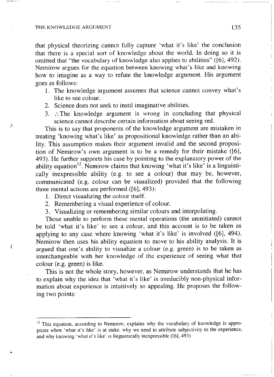#### THE KNOWLEDGE ARGUMENT 135

 $t_{\rm s}$ 

Ş

that physical theorizing cannot fully capture 'what it's like' the conclusion that there is a special sort of knowledge about the world. In doing so it is omitted that "the vocabulary of knowledge also applies to abilities" ([6], 492). Nemirow argues for the equation between knowing what's like and knowing how to imagine as a way to refute the knowledge argument. His argument goes as follows:

- 1. The knowledge argument assumes that science cannot convey what's like to see colour.
- 2. Science does not seek to instil imaginative abilities.
- 3. :The knowledge argument is *wrong* in concluding that physic science cannot describe certain information about seeing red.

This is to say that proponents of the knowledge argument are mistaken in treating 'knowing what's like' as propositional knowledge rather than an ability. This assumption makes their argument invalid and the second proposition of Nemirow's own argument is to be a remedy for their mistake  $([6]$ , 493). He further supports his case by pointing to the explanatory power of the ability equation<sup>12</sup>. Nemirow claims that knowing 'what it's like' is a linguis cally inexpressible ability (e.g. to see a colour) that may be, however, communicated (e.g. colour can be visualized) provided that the following three mental actions are performed ([6], 493):

- 1. Direct visualizing the colour itself.
- 2. Remembering a visual experience of colour.
- 3. Visualizing or remembering similar colours and interpolating.

Those unable to perform these mental operations (the uninitiated) cannot be told 'what it's like' to see a colour, and this account is to be taken as applying to any case where knowing 'what it's like' is involved  $([6], 494)$ . Nemirow then uses his ability equation to move to his ability analysis. It is argued that one's ability to visualize a colour (e.g. green) is to be taken as interchangeable with her knowledge of the experience of seeing what that colour (e.g. green) is like.

This is not the whole story, however, as Nemirow understands that he has to explain why the idea that 'what it's like' is irreducibly non-physical information about experience is intuitively so appealing. He proposes the following two points:

 $12$  This equation, according to Nemirow, explains why the vocabulary of knowledge is appropriate when 'what it's like' is at stake, why we need to attribute subjectivity to the experience, and why knowing 'what it's like' is linguistically inexpressible ([6], 493)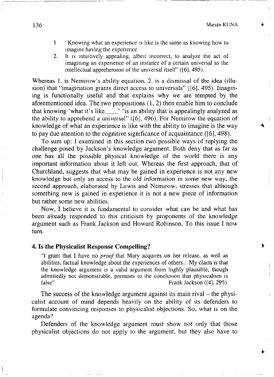- 1 "Knowing what an experience is like is the same as knowing how to imagine having the experience.
- 2. It is intuitively appealing, albeit incorrect, to analyze the act of imagining an expenence of an instance of a certain universal as the intellectual apprehension of the universal itself' ([6], 495).

Whereas 1, is Nemirow's ability equation, 2, is a dismissal of the idea (illusion) that "imagination grants direct access to universals" ( $[6]$ , 495). Imagining is functionally useful and that explains why we are tempted by the aforementioned idea. The two propositions  $(1, 2)$  then enable him to conclude that knowing 'what it's like  $\cdot$  "is an ability that is appealingly analyzed as the ability to apprehend a universal"  $(16)$ , 496). For Nemirow the equation of knowledge of what an experience is like with the ability to imagine is the way to pay due attention to the cognitive significance of acquaintance ( $[6]$ , 498).

To sum up: I examined in this section two possible ways of replying the challenge posed by Jackson's knowledge argument. Both deny that as far as one has all the possible physical knowledge of the world there is any important information about it left out. Whereas the first approach, that of Churchland, suggests that what may be gained in experience is not any new knowledge but only an access to the old information in some new way, the second approach, elaborated by Lewis and Nemirow, stresses that although something new is gained in experience it is not a new piece of information but rather some new abilities.

Now. I believe it is fundamental to consider what can be and what has been already responded to this criticism by proponents of the knowledge argument such as Frank Jackson and Howard Robinson. To this issue I now turn.

### **4. Is the Physicalist Response Compelling?**

"I grant that I have no *proof* that Mary acquires on her release, as well as abilities, factual knowledge about the experiences of others... My claim is that the knowledge argument is a valid argument from highly plausible, though admittedly not demonstrable, premises to the conclusion that physicalism is false"<br>Frank Jackson (141, 295) Frank Jackson ([4], 295)

The success of the knowledge argument against its main rival – the physicalist account of mind depends heavily on the ability of its defenders to formulate convincing responses to physicalist objections. So, what is on the agenda?

Defenders of the knowledge argument must show not only that those physicalist objections do not apply to the argument, but they also have to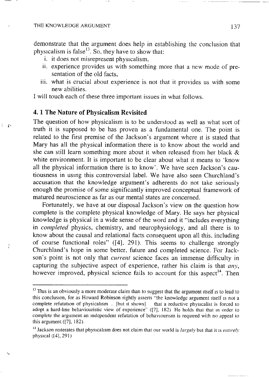$\mathcal{L}$ 

ţ,

demonstrate that the argument does help in establishing the conclusion that physicalism is false<sup>15</sup>. So, they have to show tha

- i. it does not misrepresent physicalism,
- ii. experience provides us with something more that a new mode of presentation of the old facts.
- iii. what is crucial about experience is not that it provides us with some new abilities.

I will touch each of these three important issues in what follows.

## **4.1 The Nature of Physicalism Revisited**

The question of how physicalism is to be understood as well as what sort of truth it is supposed to be has proven as a fundamental one. The point is related to the first premise of the Jackson's argument where it is stated that Mary has all the physical information there is to know about the world and she can still learn something more about it when released from her black & white environment. It is important to be clear about what it means to 'know all the physical information there is to know'. We have seen Jackson's cautiousness in using this controversial label. We have also seen Churchland's accusation that the knowledge argument's adherents do not take seriously enough the promise of some significantly improved conceptual framework of matured neuroscience as far as our mental states are concerned.

Fortunately, we have at our disposal Jackson's view on the question how complete is the complete physical knowledge of Mary. He says her physical knowledge is physical in a wide sense of the word and it "includes everything in *completed* physics, chemistry, and neurophysiology, and all there is to know about the causal and relational facts consequent upon all this, including of course functional roles" ( $[4]$ , 291). This seems to challenge strongly Churchland's hope in some better, future and completed science. For Jackson's point is not only that *current* science faces an immense difficulty in capturing the subjective aspect of experience, rather his claim is that *any*, however improved, physical science fails to account for this aspect<sup>14</sup>. The

<sup>&</sup>lt;sup>13</sup> This is an obviously a more moderate claim than to suggest that the argument itself is to lead to this conclusion, for as Howard Robinson rightly asserts "the knowledge argument itself is not a complete refutation of physicalism . [but it shows] that a reductive physicalist is forced to adopt a hard-line behaviouristic view of experience" ([7], 182) He holds that that in order to complete the argument an independent refutation of behaviourism is required with no appeal to this argument ([7], 182).

<sup>14</sup> Jackson reiterates that physicalism does not claim that our world is *largely* but that it is *entirely* physical ([4], 291)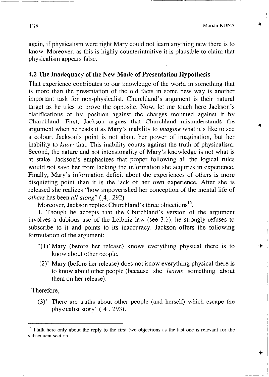again, if physicalism were right Mary could not learn anything new there is to know. Moreover, as this is highly counterintuitive it is plausible to claim that physicalism appears false.

## **4.2 The Inadequacy of the New Mode of Presentation Hypothesis**

That experience contributes to our knowledge of the world in something that is more than the presentation of the old facts in some new way is another important task for non-physicalist. Churchland's argument is their natural target as he tries to prove the opposite. Now, let me touch here Jackson's clarifications of his position against the charges mounted against it by Churchland. First, Jackson argues that Churchland misunderstands the argument when he reads it as Mary's inability to *imagine* what it's like to see a colour. Jackson's point is not about her power of imagination, but her inability to *know* that. This inability counts against the truth of physicalism. Second, the nature and not intensionality of Mary's knowledge is not what is at stake. Jackson's emphasizes that proper following all the logical rules would not save her from lacking the information she acquires in experience. Finally, Mary's information deficit about the experiences of others is more disquieting point than it is the lack of her own experience. After she is released she realizes "how impoverished her conception of the mental life of *others* has been *all along*" ([4], 292).

Moreover, Jackson replies Churchland's three objections<sup>13</sup>

1. Though he accepts that the Churchland's version of the argument involves a dubious use of the Leibniz law (see 3.1), he strongly refuses to subscribe to it and points to its inaccuracy. Jackson offers the following formulation of the argument:

- " $(1)$ "Mary (before her release) knows everything physical there is to know about other people.
- (2)' Mary (before her release) does not know everything physical there is to know about other people (because she *learns* something about them on her release).

Therefore,

(3)' There are truths about other people (and herself) which escape the physicalist story" ([4], 293).

<sup>&</sup>lt;sup>15</sup> I talk here only about the reply to the first two objections as the last one is relevant for the subsequent section.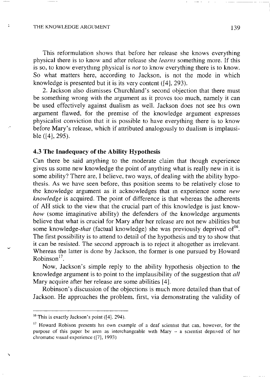### THE KNOWLEDGE ARGUMENT 139

 $\overline{1}$ 

This reformulation shows that before her release she knows everything physical there is to know and after release she *learns* something more. If this is so, to know everything physical is *not* to know everything there is to know. So what matters here, according to Jackson, is not the mode in which knowledge is presented but it is its very content ([4], 293).

2 . Jackson also dismisses Churchland's second objection that there must be something wrong with the argument as it proves too much, namely it can be used effectively against dualism as well. Jackson does not see his own argument flawed, for the premise of the knowledge argument expresses physicalist conviction that it is possible to have everything there is to know before Mary's release, which if attributed analogously to dualism is implausible ([4], 295).

### **4.3 The Inadequacy of the Ability Hypothesis**

Can there be said anything to the moderate claim that though experience gives us some new knowledge the point of anything what is really new in it is some ability? There are, I believe, two ways, of dealing with the ability hypothesis. As we have seen before, this position seems to be relatively close to the knowledge argument as it acknowledges that m experience some *new knowledge* is acquired. The point of difference is that whereas the adherents of AH stick to the view that the crucial part of this knowledge is just know*how* (some imaginative ability) the defenders of the knowledge arguments believe that what is crucial for Mary after her release are not new abilities but some knowledge-*that* (factual knowledge) she was previously deprived of The first possibility is to attend to detail of the hypothesis and try to show that it can be resisted. The second approach is to reject it altogether as irrelevant. Whereas the latter is done by Jackson, the former is one pursued by Howard Robinson''.

Now, Jackson's simple reply to the ability hypothesis objection to the knowledge argument is to point to the implausibility of the suggestion that *all* Mary acquire after her release are some abilities [4],

Robinson's discussion of the objections is much more detailed than that of Jackson. He approaches the problem, first, via demonstrating the validity of

 $16$  This is exactly Jackson's point ([4], 294).

 $17$  Howard Robison presents his own example of a deaf scientist that can, however, for the purpose of this paper be seen as interchangeable with Mary - a scientist deprived of her chromatic visual experience ([7], 1993)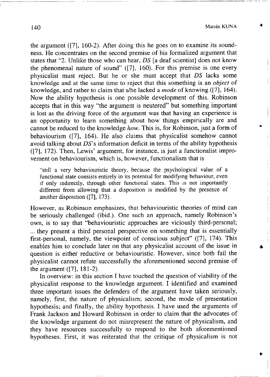140 Marián KUNA

the argument  $(7)$ , 160-2). After doing this he goes on to examine its soundness. He concentrates on the second premise of his formalized argument that states that "2. Unlike those who can hear, *DS* [a deaf scientist] does not know the phenomenal nature of sound"  $(7)$ , 160). For this premise is one every physicalist must reject. But he or she must accept that *DS* lacks some knowledge and at the same time to reject that this something is an *object* of knowledge, and rather to claim that s/he lacked a *mode* of knowing ([7], 164). Now the ability hypothesis is one possible development of this. Robinson accepts that in this way "the argument is neutered" but something important is lost as the driving force of the argument was that having an experience is an opportunity to learn something about how things empirically are and cannot be reduced to the knowledge *how*. This is, for Robinson, just a form of behaviourism  $(7)$ , 164). He also claims that physicalist somehow cannot avoid talking about  $DS$ 's information deficit in terms of the ability hypothesis  $(17)$ ,  $172$ ). Then, Lewis' argument, for instance, is just a functionalist improvement on behaviourism, which is, however, functionalism that is

"still a very behaviouristic theory, because the psychological value of a functional state consists entirely in its potential for modifying behaviour, even if only indirectly, through other functional states. This is not importantly different from allowing that a disposition is modified by the presence of another disposition ([7], 173).

However, as Robinson emphasizes, that behaviouristic theories of mind can be seriously challenged (ibid.). One such an approach, namely Robinson's own, is to say that "behaviouristic approaches are viciously third-personal; ... they present a third personal perspective on something that is essentially first-personal, namely, the viewpoint of conscious subject" ([7], 174). This enables him to conclude later on that any physicalist account of the issue in question is either reductive or behaviouristic. However, since both fail the physicalist cannot refute successfully the aforementioned second premise of the argument ([7], 181-2).

In overview: in this section I have touched the question of viability of the physicalist response to the knowledge argument. I identified and examined three important issues the defenders of the argument have taken seriously, namely, first, the nature of physicalism; second, the mode of presentation hypothesis; and finally, the ability hypothesis. I have used the arguments of Frank Jackson and Howard Robinson in order to claim that the advocates of the knowledge argument do not misrepresent the nature of physicalism, and they have resources successfully to respond to the both aforementioned hypotheses. First, it was reiterated that the critique of physicalism is not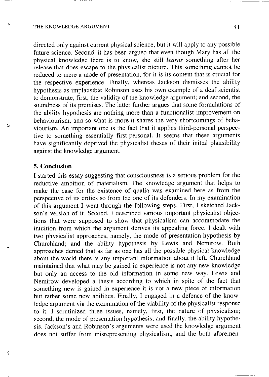Ą

 $\mathbf{r}_2$ 

Ÿ,

directed only against current physical science, but it will apply to any possible future science. Second, it has been argued that even though Mary has all the physical knowledge there is to know, she still *learns* something after her release that does escape to the physicalist picture. This something cannot be reduced to mere a mode of presentation, for it is its content that is crucial for the respective experience. Finally, whereas Jackson dismisses the ability hypothesis as implausible Robinson uses his own example of a deaf scientist  $\mu$ ypothesis as implausible Robinson uses his own example of a deaf scientisty to demonstrate, first, the validity of the knowledge argument, and second, the  $\frac{1}{2}$ soundness of its premises. The latter further argues that some formulations of the ability hypothesis are nothing more than a functionalist improvement on behaviourism, and so what is more it shares the very shortcomings of behaviourism. An important one is the fact that it applies third-personal perspective to something essentially first-personal. It seems that these arguments tive to something essentially first-personal. It seems that these arguments have significantly deprived the physicalist theses of their initial plausibility against the knowledge argument.

## **5. Conclusion**

I started this essay suggesting that consciousness is a serious problem for the reductive ambition of materialism. The knowledge argument that helps to make the case for the existence of qualia was examined here as from the perspective of its critics so from the one of its defenders. In my examination of this argument I went through the following steps. First, I sketched Jackson's version of it. Second, I described various important physicalist objections that were supposed to show that physicalism can accommodate the intuition from which the argument derives its appealing force. I dealt with two physicalist approaches, namely, the mode of presentation hypothesis by Churchland; and the ability hypothesis by Lewis and Nemirow. Both approaches denied that as far as one has all the possible physical knowledge about the world there is any important information about it left. Churchland maintained that what may be gained in experience is not any new knowledge but only an access to the old information in some new way. Lewis and Nemirow developed a thesis according to which in spite of the fact that something new is gained in experience it is not a new piece of information but rather some new abilities. Finally, I engaged in a defence of the knowledge argument via the examination of the viability of the physicalist response to it. I scrutinized three issues, namely, first, the nature of physicalism; second, the mode of presentation hypothesis; and finally, the ability hypothesis. Jackson's and Robinson's arguments were used the knowledge argument does not suffer from misrepresenting physicalism, and the both aforemen- $\ddot{\phantom{a}}$  not suffer from misrepresenting physicalism, and the both aforementing physicalism, and the both aforementing  $\ddot{\phantom{a}}$